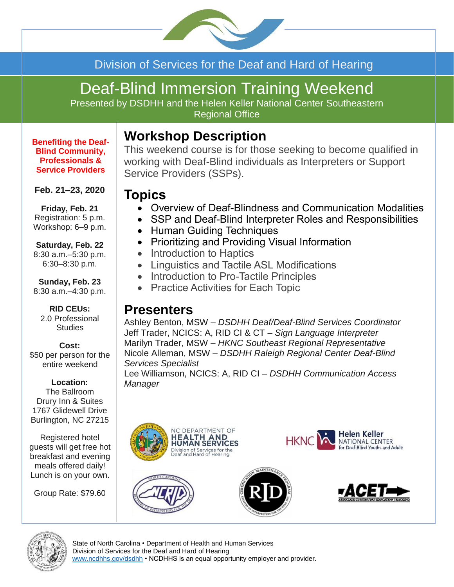

### Division of Services for the Deaf and Hard of Hearing

# Deaf-Blind Immersion Training Weekend

Presented by DSDHH and the Helen Keller National Center Southeastern Regional Office

# **Workshop Description**

**Benefiting the Deaf-Blind Community, Professionals & Service Providers**

#### **Feb. 21–23, 2020**

**Friday, Feb. 21** Registration: 5 p.m. Workshop: 6–9 p.m.

#### **Saturday, Feb. 22**

8:30 a.m.–5:30 p.m. 6:30–8:30 p.m.

**Sunday, Feb. 23** 8:30 a.m.–4:30 p.m.

#### **RID CEUs:** 2.0 Professional **Studies**

#### **Cost:**

\$50 per person for the entire weekend

#### **Location:**

The Ballroom Drury Inn & Suites 1767 Glidewell Drive Burlington, NC 27215

Registered hotel guests will get free hot breakfast and evening meals offered daily! Lunch is on your own.

Group Rate: \$79.60

This weekend course is for those seeking to become qualified in working with Deaf-Blind individuals as Interpreters or Support Service Providers (SSPs).

### **Topics**

- Overview of Deaf-Blindness and Communication Modalities
- SSP and Deaf-Blind Interpreter Roles and Responsibilities
- Human Guiding Techniques
- Prioritizing and Providing Visual Information
- Introduction to Haptics
- Linguistics and Tactile ASL Modifications
- Introduction to Pro-Tactile Principles
- Practice Activities for Each Topic

### **Presenters**

Ashley Benton, MSW *– DSDHH Deaf/Deaf-Blind Services Coordinator* Jeff Trader, NCICS: A, RID CI & CT – *Sign Language Interpreter* Marilyn Trader, MSW – *HKNC Southeast Regional Representative* Nicole Alleman, MSW – *DSDHH Raleigh Regional Center Deaf-Blind Services Specialist* Lee Williamson, NCICS: A, RID CI – *DSDHH Communication Access Manager*













State of North Carolina • Department of Health and Human Services Division of Services for the Deaf and Hard of Hearing [www.ncdhhs.gov/dsdhh](http://www.ncdhhs.gov/dsdhh) • NCDHHS is an equal opportunity employer and provider.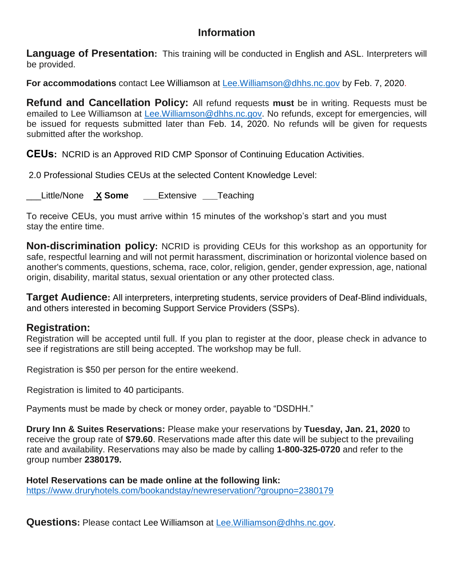### **Information**

**Language of Presentation:** This training will be conducted in English and ASL. Interpreters will be provided.

**For accommodations** contact Lee Williamson at [Lee.Williamson@dhhs.nc.gov](mailto:Lee.Williamson@dhhs.nc.gov) by Feb. 7, 2020.

**Refund and Cancellation Policy:** All refund requests **must** be in writing. Requests must be emailed to Lee Williamson at [Lee.Williamson@dhhs.nc.gov.](mailto:Lee.Williamson@dhhs.nc.gov) No refunds, except for emergencies, will be issued for requests submitted later than Feb. 14, 2020. No refunds will be given for requests submitted after the workshop.

**CEUs:** NCRID is an Approved RID CMP Sponsor of Continuing Education Activities.

2.0 Professional Studies CEUs at the selected Content Knowledge Level:

\_\_\_Little/None **X Some \_\_\_**Extensive **\_\_\_**Teaching

To receive CEUs, you must arrive within 15 minutes of the workshop's start and you must stay the entire time.

**Non-discrimination policy:** NCRID is providing CEUs for this workshop as an opportunity for safe, respectful learning and will not permit harassment, discrimination or horizontal violence based on another's comments, questions, schema, race, color, religion, gender, gender expression, age, national origin, disability, marital status, sexual orientation or any other protected class.

**Target Audience:** All interpreters, interpreting students, service providers of Deaf-Blind individuals, and others interested in becoming Support Service Providers (SSPs).

### **Registration:**

Registration will be accepted until full. If you plan to register at the door, please check in advance to see if registrations are still being accepted. The workshop may be full.

Registration is \$50 per person for the entire weekend.

Registration is limited to 40 participants.

Payments must be made by check or money order, payable to "DSDHH."

**Drury Inn & Suites Reservations:** Please make your reservations by **Tuesday, Jan. 21, 2020** to receive the group rate of **\$79.60**. Reservations made after this date will be subject to the prevailing rate and availability. Reservations may also be made by calling **1-800-325-0720** and refer to the group number **2380179.**

**Hotel Reservations can be made online at the following link:** <https://www.druryhotels.com/bookandstay/newreservation/?groupno=2380179>

**Questions:** Please contact Lee Williamson at [Lee.Williamson@dhhs.nc.gov.](mailto:Lee.Williamson@dhhs.nc.gov)